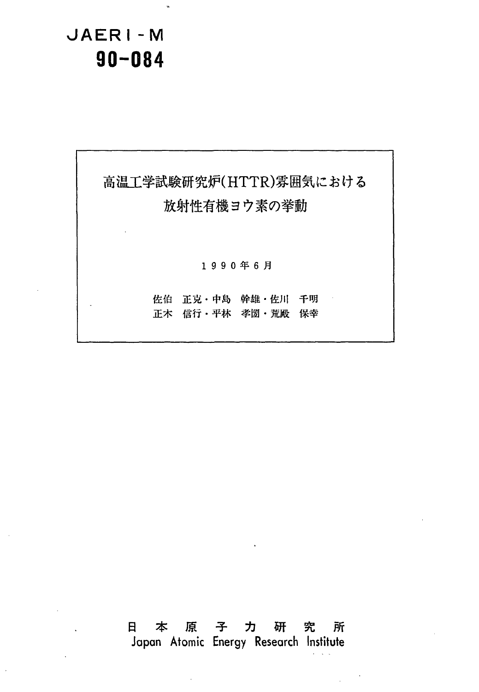**JAERI- M**  JAERI-M **90-084**  90-084



# Japan Atomic Energy Research Institute Japan Atomic Energy Research Institufe 日本原子力切研究所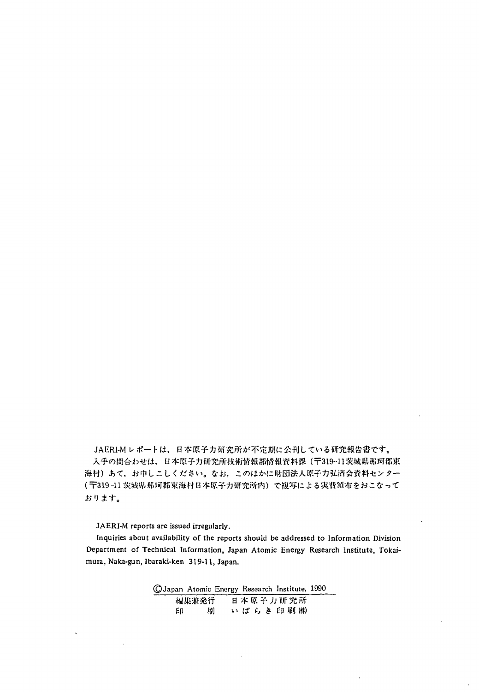JAERI-Mレポートは,日本原子力研究所が不定期に公刊している研究報告書です。 <mark>(〒</mark>319-11 茨城県那珂郡東海村日本原子力研究所内)で複写による実費領布をおこなって # **'J** \* **1-"**  おります。 入手の間合わせは、日本原子力研究所技術情報部情報資料課 (〒319-11茨城県那珂郡東 海村)あて、お申しこしください。なお、このほかに財団法人原子力弘済会資料センター

**JAERI-M reports are issued irregularly.**  JAERI-M reports are issued irregularly.

**Inquiries about availability of the reports should be addressed to Information Division**  Inquiries about availability of the reports should be addressed to Information Division **Department of Technical Information, Japan Atomic Energy Research Institute, Tokai-**Department of Technical Information, Japan Atomic Energy Research Institute, Tokaimura, Naka-gun, Ibaraki-ken 319-11, Japan.

|     |       | CJapan Atomic Energy Research Institute, 1990 |  |
|-----|-------|-----------------------------------------------|--|
|     | 編集兼発行 | 日本原子力研究所                                      |  |
| EN. | 届1    | いばらき印刷㈱                                       |  |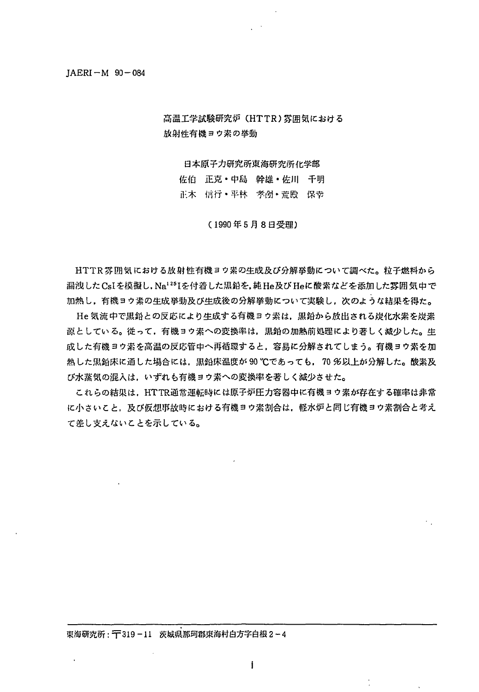## JAERI-M 90-084 ]AERI -M 90 -084

高温工学試験研究炉 CHTTR)雰囲気における 放射性有機ヨウ索の挙動

日本原子力研究所東海研究所化学部

佐伯 正克·中島 幹雄·佐川 千明 正木 信行・平林 孝圀・荒殿 保幸

(1990年5月8日受理)

HTTR雰囲気における放射性有機ヨウ索の生成及び分解挙動について調べた。粒子燃料から 漏洩した CsIを模擬し. Na<sup>125</sup>Iを付着した黒鉛を,純He及び Heに酸素などを添加した雰囲気中で 加熱し,有機ヨウ索の生成挙動及び生成後の分解挙動について実験し,次のような結果を得た。

He 気流中で黒鉛との反応により生成する有機ヨウ素は、黒鉛から放出される炭化水素を炭素 源としている。従って、有機ヨウ素への変換率は、黒鉛の加熱前処理により著しく減少した。生 成した有機ヨウ索を高・温の反応管中へ再循環すると,容易に分解されてしまう。有機ヨウ索を加 熱した黒鉛床に通した場合には.黒鉛床温度が 90 ℃であっても. 70 %以上が分解した。酸素及 ひ'水蒸気の混入は.いずれも有機ヨウ素への変換率を著しく減少させた。

これらの結果は. HTTR通常運転時には原子炉圧力容器中に有機ヨウ素が存在する確率は非常 に小さいこと、及び仮想事故時における有機ヨウ素割合は、軽水炉と同じ有機ヨウ素割合と考え て差し支えない乙とを示している。

**I**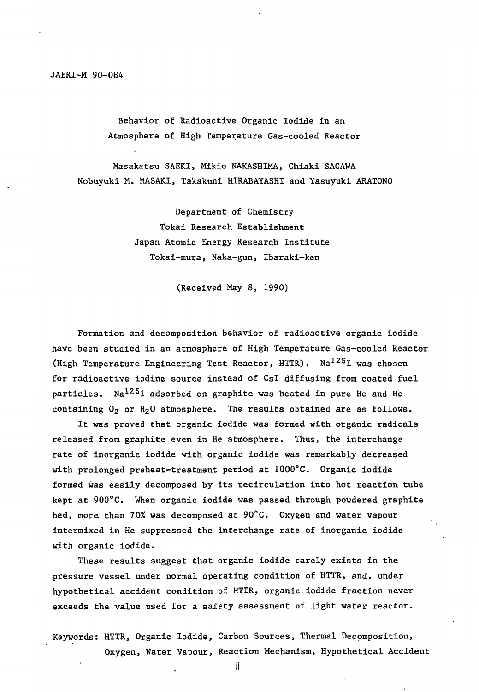Behavior of Radioactive Organic Iodide in an Behavior of Radioactive Organic Iodide in an Atmosphere of High Temperature Gas-cooled Reactor Atmosphere of High Temperature Gas-cooled Reactor

Masakatsu SAEKI, Mikio NAKASHIMA, Chiaki SAGAWA Nobuyuki M. MASAKI, Takakuni HIRABAYASHI and Yasuyuki ARATONO Nobuyuki M. MASAK工. Takakuni HlRABAYASH andYasuyuki ARATONO

> Department of Chemistry Department of Chemistry Tokai Research Establishment Tokai Research Establishment Japan Atomic Energy Research Institute Japan Atomic Energy Research Institute Tokai-mura, Naka-gun, Ibaraki-ken Tokai-mura. Naka-gun. Ibaraki-ken

> > (Received May 8, 1990) (Received May 8, 1990)

Formation and decomposition behavior of radioactive organic iodide Formation and decomposition behavior of radioactive organic iodide have been studied in an atmosphere of High Temperature Gas-cooled Reactor have been studied in an atmosphere of High Temperature Gas-cooled Reactor (High Temperature Engineering Test Reactor, HTTR). Na<sup>125</sup>I was chosen for radioactive iodine source instead of CsI diffusing from coated fuel particles. Na<sup>125</sup>I adsorbed on graphite was heated in pure He and He particles. Na1251 adsorbed on graphite was heated in pure He and He containing  $0_2$  or  $\text{H}_2\text{O}$  atmosphere. The results obtained are as follows.

It was proved that organic iodide was formed with organic radicals released from graphite even in He atmosphere. Thus, the interchange released from graphite even in He atmosphere. Thus, the interchange rate of inorganic iodide with organic iodide was remarkably decreased with prolonged preheat-treatment period at  $1000^{\circ}$ C. Organic iodide formed was easily decomposed by its recirculation into hot reaction tube kept at 900°C. When organic iodide was passed through powdered graphite bed, more than 70% was decomposed at 90°C. Oxygen and water vapour intermixed in He suppressed the interchange rate of inorganic iodide intermixed in He suppressed the interchange rate of inorganlc iodide with organic iodide. with organic iodide.

These results suggest that organic iodide rarely exists in the These results suggest that organic iodide rarely exists in the pressure vessel under normal operating condition of HTTR, and, under pressure vessel under normal operating condition of HTTR, and, under hypothetical accident condition of HTTR, organic iodide fraction never hypothetical accident condition of HTTR, organic iodide fraction never exceeds the value used for a safety assessment of light water reactor. exceeds the value used for a safety assessment of light water reactor.

Keywords: HTTR, Organic Iodide, Carbon Sources, Thermal Decomposition, Oxygen, Water Vapour, Reaction Mechanism, Hypothetical Accident Oxygen. Water Vapour, Reaction Mechanism, Hypothetical Accident

 $\mathbf{I}$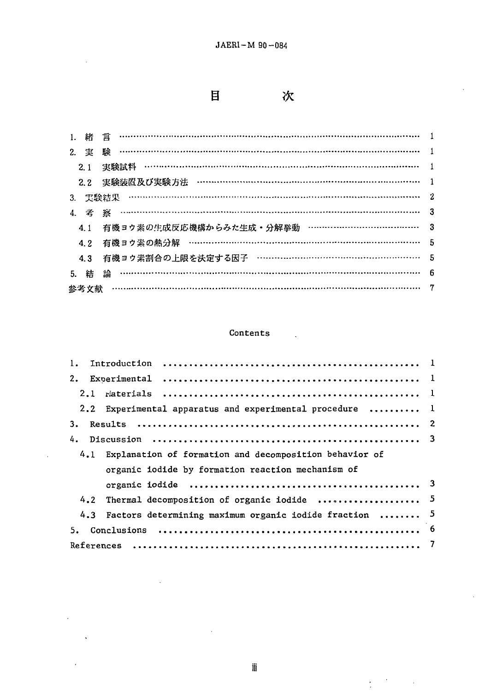$\mathbf{H}$ 次  $\ddot{\phantom{0}}$ 

 $\frac{1}{\sqrt{2}}\left(\frac{1}{\sqrt{2}}\right)^{2}=\frac{1}{2}\left(\frac{1}{\sqrt{2}}\right)^{2}$ 

l.

 $\bar{\Delta}$ 

 $\sim 10^{-1}$ 

 $\lambda$ 

 $\hat{\mathbf{v}}$ 

|    | 緒                | <b>言 …………………………………………………………………………………</b> |   |
|----|------------------|------------------------------------------|---|
| 2. | 実                | 【験】                                      |   |
|    | 2.1              | 実験試料                                     |   |
|    | 2.2 <sub>1</sub> | 実験装置及び実験方法                               |   |
| 3. |                  | 実験結果                                     |   |
|    |                  |                                          |   |
|    | 4.1              | 有機ヨウ素の生成反応機構からみた生成・分解挙動 …………………………………    |   |
|    | 4.2              | 有機ヨウ素の熱分解 ………………………………………………………………………    | 5 |
|    | 4.3              | 有機ヨウ素割合の上限を決定する因子 …………………………………………………    | 5 |
| 5. | 結                | 論                                        | 6 |
|    | 參考文献             |                                          |   |

## Contents Contents

a.

| 1.                                                                        |  |  |  |  |
|---------------------------------------------------------------------------|--|--|--|--|
| 2.                                                                        |  |  |  |  |
|                                                                           |  |  |  |  |
| 2.2 Experimental apparatus and experimental procedure $\dots\dots\dots$ 1 |  |  |  |  |
| 3.                                                                        |  |  |  |  |
| 4.                                                                        |  |  |  |  |
| 4.1 Explanation of formation and decomposition behavior of                |  |  |  |  |
| organic iodide by formation reaction mechanism of                         |  |  |  |  |
|                                                                           |  |  |  |  |
| 4.2 Thermal decomposition of organic iodide  5                            |  |  |  |  |
| 4.3 Factors determining maximum organic iodide fraction  5                |  |  |  |  |
| 5.                                                                        |  |  |  |  |
|                                                                           |  |  |  |  |

iii i

 $\ddot{\phantom{0}}$ 

 $\ddot{\phantom{a}}$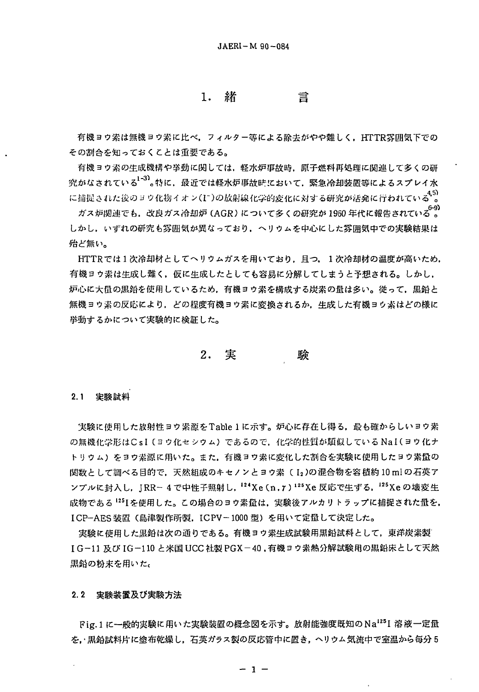1. 緒 言

有機ヨウ素は無機ヨウ素に比べ、フィルター等による除去がやや難しく、HTTR雰囲気下での その割合を知っておくことは重要である。

有機ヨウ素の生成機構や挙動に関しては、軽水炉事故時、原子燃料再処理に関連して多くの研 究がなされている<sup>1-3)</sup>。特に、最近では軽水炉事故時において、緊急冷却装置等によるスプレイ水 に捕捉された後のヨウ化物イオン(I~)の放射線化学的変化に対する研究が活発に行われている<sup>45)</sup>。

ガス炉関連でも,改良ガス冷却炉 (AGR) について多くの研究が 1960 年代に報告されている。。 しかし、いずれの研究も雰囲気が異なっており、ヘリウムを中心にした雰囲気中での実験結果は 殆ど無い。

HTTRでは1次冷却材としてヘリウムガスを用いており、且つ、1次冷却材の温度が高いため、 有機ヨウ素は生成し難く,仮に生成したとしても容易に分解してしまうと予想される。しかし, 炉心に大量の黒鉛を使用しているため、有機ヨウ素を構成する炭素の量は多い。従って、黒鉛と 無機ヨウ素の反応により、どの程度有機ヨウ素に変換されるか、生成した有機ヨウ素はどの様に 挙動するかについて実験的に検証した。

> $2.$ 実 験

### 2.1 宝验試料

実験に使用した放射性ヨウ素源をTable 1 に示す。炉心に存在し得る、最も確からしいヨウ素 の無機化学形はCsI(ヨウ化セシウム)であるので、化学的性質が類似している NaI(ヨウ化ナ トリウム)をヨウ素源に用いた。また、有機ヨウ素に変化した割合を実験に使用したヨウ素量の 関数として調べる目的で,天然組成のキセノンとヨウ素( I2 )の混合物を容積約 10 ml の石英ア ンプルに封入し、JRR-4で中性子照射し, 124Xe(n, r) 125Xe 反応で生ずる, 125Xe の壊変生 成物である <sup>125</sup>1を使用した。この場合のヨウ素量は,実験後アルカリトラップに捕捉された量を, ICP-AES装置(島津製作所製, ICPV-1000型)を用いて定量して決定した。

実験に使用した黒鉛は次の通りである。有機ヨウ素生成試験用黒鉛試料として、東洋炭素製 IG-11及びIG-110と米国 UCC社製 PGX-40,有機ヨウ素熱分解試験用の黒鉛床として天然 黒鉛の粉末を用いた。

2.2 実験装置及び実験方法

Fig.1に一般的実験に用いた実験装置の概念図を示す。放射能強度既知のNa125I 溶液一定量 を、黒鉛試料片に塗布乾燥し、石英ガラス製の反応管中に置き、ヘリウム気流中で室温から毎分5

 $-1 -$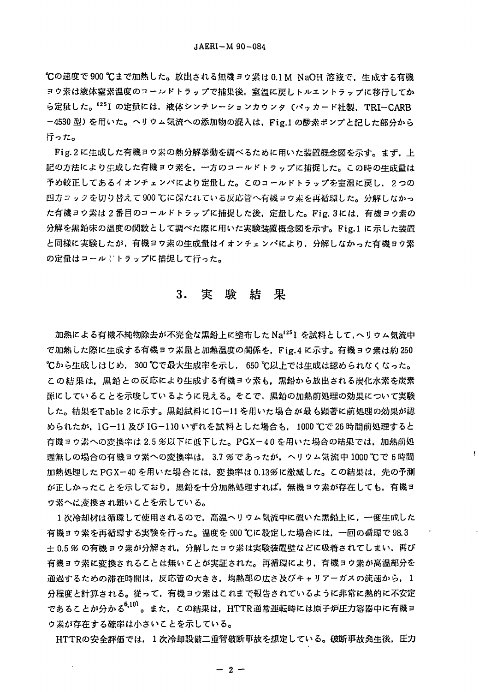℃の速度で900℃まで加熱した。放出される無機ヨウ素は0.1M NaOH 溶液で、生成する有機 ヨウ素は液体窒素温度のコールドトラップで捕集後、室温に戻しトルエントラップに移行してか ら定量した。<sup>125</sup>1 の定量には,液体シンチレーションカウンタ(パッカード社製,TRI-CARB -4530型)を用いた。ヘリウム気流への添加物の混入は、Fig.1 の酸素ポンプと記した部分から 行った。

Fig.2に生成した有機ヨウ素の熱分解挙動を調べるために用いた装置概念図を示す。まず、上 記の方法により生成した有機ヨウ素を、一方のコールドトラップに捕捉した。この時の生成量は 予め較正してあるイオンチェンバにより定量した。このコールドトラップを室温に戻し、2つの 四方コックを切り替えて900 ℃に保たれている反応管へ有機ヨウ素を再循環した。分解しなかっ た有機ヨウ素は 2 番目のコールドトラップに捕捉した後,定量した。Fig. 3には,有機ヨウ素の 分解を黒鉛床の温度の関数として調べた際に用いた実験装置概念図を示す。Fig.1 に示した装置 と同様に実験したが、有機ヨウ素の生成量はイオンチェンバにより、分解しなかった有機ヨウ素 の定量はコール!トラップに捕捉して行った。

#### 実験 結果  $3.$

加熱による有機不純物除去が不完全な黒鉛上に塗布した Na<sup>125</sup>I を試料として,ヘリウム気流中 で加熱した際に生成する有機ヨウ素量と加熱温度の関係を, Fig.4 に示す。有機ヨウ素は約250 ℃から生成しはじめ,300 ℃で最大生成率を示し, 650 ℃以上では生成は認められなくなった。 この結果は、黒鉛との反応により生成する有機ヨウ素も、黒鉛から放出される炭化水素を炭素 源にしていることを示唆しているように見える。そこで、黒鉛の加熱前処理の効果について実験 した。結果をTable 2に示す。黒鉛試料にIG-11を用いた場合が最も顕著に前処理の効果が認 められたか.IG-11 及び IG-110 いずれを試 料とした場合も. 1000 ℃で 26 時間前処理すると 有機ヨウ素への変換率は 2.5 多以下に低下した。PGX-40 を用いた場合の結果では、加熱前処 理無しの場合の有機ヨウ素への変換率は、3.7 %であったが、ヘリウム気流中 1000 ℃で6時間 加熱処理した PGX-40 を用いた場合には,変換率は 0.13%に激減した。この結果は,先の予測 が正しかったことを示しており、黒鉛を十分加熱処理すれば、無機ヨウ素が存在しても、有機ヨ ウ素へに変換され難いことを示している。

1次冷却材は循環して使用されるので、高温ヘリウム気流中に置いた黒鉛上に、一度生成した 有機ヨウ素を再循環する実験を行った。温度を900℃に設定した場合には、一回の循環で98.3 ± 0.5 % の有機ヨウ素が分解され、分解したヨウ素は実験装置壁などに吸着されてしまい、再び 有機ヨウ素に変換されることは無いことが実証された。再循環により、有機ヨウ素が高温部分を 通過するための滞在時間は,反応管の大きさ,均熱部の広さ及びキャリアーガスの流速から,1 分程度と計算される。従って、有機ヨウ素はこれまで報告されているように非常に熱的に不安定 であることが分かる<sup>6,10)</sup>。また,この結果は,HTTR通常運転時には原子炉圧力容器中に有機ヨ ウ素が存在する確率は小さいことを示している。

HTTRの安全評価では、1次冷却設備二重管破断事故を想定している。破断事故発生後、圧力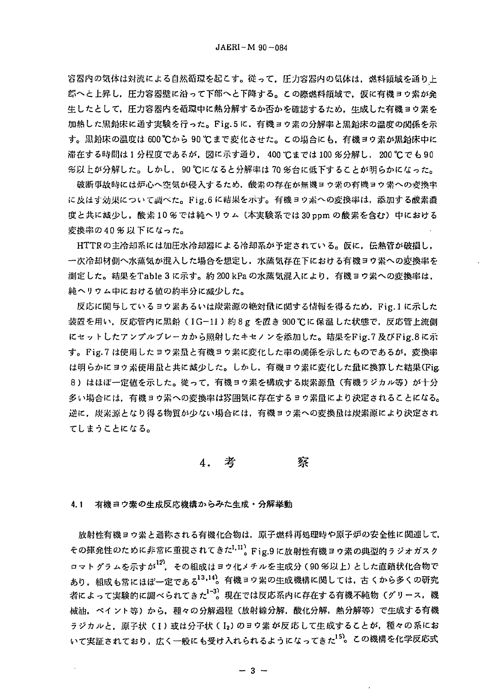容器内の気体は対流による自然循環を起こす。従って,圧力容器内の気体は,燃料領域を通り上 部へと上昇し、圧力容器壁に沿って下部へと下降する。この際燃料領域で、仮に有機ヨウ素が発 生したとして、圧力容器内を循環中に熱分解するか否かを確認するため、生成した有機ヨウ素を 加熱した黒鉛床に通す実験を行った。Fig.5に、有機ヨウ素の分解率と黒鉛床の温度の関係を示 す。黒鉛床の温度は 600℃から 90℃まで変化させた。この場合にも、有機ヨウ素が黒鉛床中に 滞在する時間は1分程度であるが、図に示す通り、400 ℃までは100 %分解し、200 ℃でも90 %以上が分解した。しかし, 90 ℃になると分解率は 70 %台に低下することが明らかになった。

破断事故時には炉心へ空気が侵入するため、酸素の存在が無機ヨウ素の有機ヨウ素への変換率 に及はす効果について調べた。Fig.6 に結果を示す。有機ヨウ素への変換率は、添加する酸素濃 度と共に減少し、酸素10%では純ヘリウム (本実験系では30 ppm の酸素を含む)中における 変換率の40%以下になった。

HTTRの主冷却系には加圧水冷却器による冷却系が予定されている。仮に、伝熱管が破損し, 一次冷却材側へ水蒸気が混入した場合を想定し、水蒸気存在下における有機ヨウ素への変換率を 測定した。結果をTable 3 に示す。約 200 kPa の水蒸気混入により、有機ヨウ素への変換率は, 純ヘリウム中における値の約半分に减少した。

反応に関与しているヨウ素あるいは炭素源の絶対量に関する情報を得るため、Fig.1に示した 装置を用い, 反応管内に黒鉛 (IG-11)約8g を置き 900℃に保温した状態で, 反応管上流側 にセットしたアンプルブレーカから照射したキセノンを添加した。結果をFig.7 及びFig.8に示 す。Fig.7 は使用したヨウ素量と有機ヨウ素に変化した率の関係を示したものであるが, 変換率 は明らかにヨウ素使用量と共に減少した。しかし、有機ヨウ素に変化した量に換算した結果(Fig. 8)はほぼ一定値を示した。従って、有機ヨウ素を構成する炭素源量(有機ラジカル等)が十分 多い場合には,有機ヨウ素への変換率は雰囲気に存在するヨウ素量により決定されることになる。 逆に、炭素源となり得る物質が少ない場合には、有機ヨウ素への変換量は炭素源により決定され てしまうことになる。

4. 考 蔡

4.1 有機ヨウ素の生成反応機構からみた生成・分解挙動

放射性有機ヨウ素と通称される有機化合物は、原子燃料再処理時や原子炉の安全性に関連して その揮発性のために非常に重視されてきた<sup>1,11</sup>。Fig.9 に放射性有機ヨウ素の典型的ラジオガスク ロマトグラムを示すが<sup>12</sup>, その組成はヨウ化メチルを主成分 (90 %以上) とした直鎖状化合物で あり, 組成も常にほぼ一定である<sup>13,14</sup>。有機ヨウ素の生成機構に関しては, 古 くから多くの研究 者によって実験的に調べられてきた1-32 現在では反応系内に存在する有機不純物(グリース. 機 械油,ペイント等)から,種々の分解過程(放射線分解,酸化分解,熱分解等)で生成する有機 ラジカルと、原子状(I)或は分子状(I2)のヨウ素が反応して生成することが、種々の系にお いて実証されており, 広く一般にも受け入れられるようになってきた<sup>15</sup>。この機構を化学反応式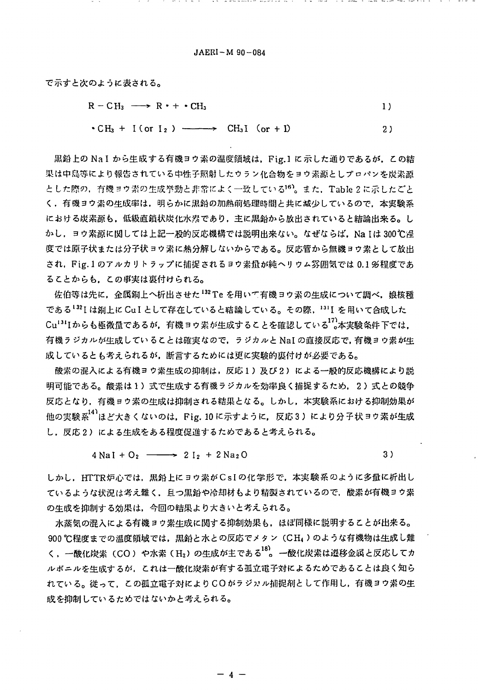$JARRI - M$  90 - 084

で示すと次のように表される。

$$
R - CH_3 \longrightarrow R \cdot + \cdot CH_3
$$

$$
\bullet \text{ CH}_3 + \text{ I (or } I_2) \longrightarrow \text{ CH}_3I \text{ (or } + I) \tag{2}
$$

黒鉛上の Na I から生成する有機ヨウ素の温度領域は、Fig.1 に示した通りであるが、この結 果は中島等により報告されている中性子照射したウラン化合物をヨウ素源としプロパンを炭素源 とした際の,有機ヨウ素の生成挙動と非常によく一致している<sup>16</sup>)。また、Table 2 に示したごと く、有機ヨウ素の生成率は、明らかに黒鉛の加熱前処理時間と共に減少しているので、本実験系 における炭素源も,低級直鎖状炭化水素であり,主に黒鉛から放出されていると結論出来る。し かし、ヨウ素源に関しては上記一股的反応機構では説明出来ない。なぜならば、Na Iは 300℃程 度では原子状または分子状ヨウ素に熱分解しないからである。反応管から無機ヨウ素として放出 され、Fig.1のアルカリトラップに捕捉されるヨウ素量が純ヘリウム雰囲気では 0.1 %程度であ ることからも、この事実は裏付けられる。

佐伯等は先に、金属銅上へ析出させた132 Te を用いて有機ヨウ素の生成について調べ、娘核種 である132Iは銅上に CuI として存在していると結論している。その際, 131I を用いて合成した Cu<sup>131</sup>Iからも極微量であるが、有機ヨウ素が生成することを確認している<sup>17</sup>2本実験条件下では. 有機ラジカルが生成していることは確実なので、ラジカルと NaI の直接反応で、有機ヨウ素が生 成しているとも考えられるが、断言するためには更に実験的裏付けが必要である。

酸素の混入による有機ヨウ素生成の抑制は,反応1)及び2)による一般的反応機構により説 明可能である。酸素は 1 )式で生成する有機ラジカルを効率良く捕捉するため, 2 )式との競争 反応となり、有機ヨウ素の生成は抑制される結果となる。しかし、本実験系における抑制効果が 他の実験系<sup>141</sup>ほど大きくないのは, Fig. 10 に示すように, 反応3)により分子状ヨウ素が生成 し、反応2)による生成をある程度促進するためであると考えられる。

> $4 \text{ NaI} + \text{O}_2 \longrightarrow 2 I_2 + 2 \text{ Na}_2 \text{O}$ 3)

しかし、HTTR炉心では、黒鉛上にヨウ素がCsIの化学形で、本実験系のように多量に析出し ているような状況は考え難く、且つ黒鉛や冷却材もより精製されているので、酸素が有機ヨウ素 の生成を抑制する効果は、今回の結果より大きいと考えられる。

水蒸気の混入による有機ヨウ素生成に関する抑制効果も,ほぼ同様に説明することが出来る。 900 ℃程度までの温度領域では、黒鉛と水との反応でメタン (CH4)のような有機物は生成し難 く、一酸化炭素(CO)や水素(H2)の生成が主である<sup>18</sup>。一酸化炭素は遷移金属と反応してカ ルボニルを生成するが、これは一酸化炭素が有する孤立電子対によるためであることは良く知ら れている。従って、この孤立電子対によりCOがラジッル捕捉剤として作用し、有機ヨウ素の生 成を抑制しているためではないかと考えられる。

 $\mathbf{A}$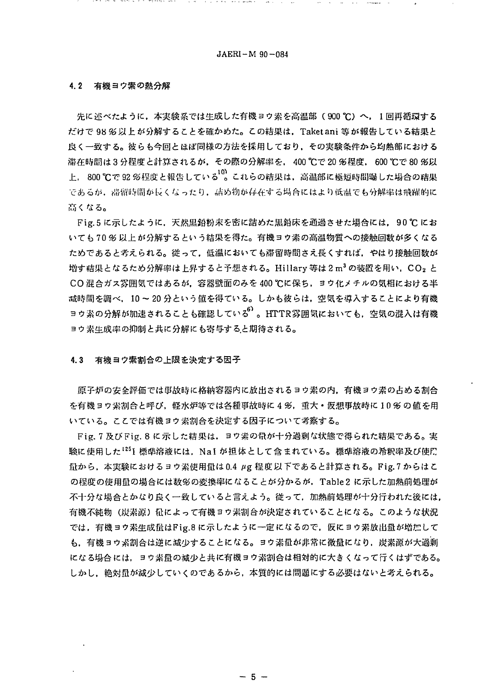the contract of the contract of the contract of the contract of the contract of the contract of the contract of the contract of the contract of the contract of the contract of the contract of the contract of the contract o

#### $4.2$ 有機ヨウ素の熱分解

先に述べたように、本実験系では生成した有機ヨウ素を高温部(900℃)へ、1回再循環する だけで 98 % 以上 が分解することを確かめた。この結果は、Taket ani 等が報告している結果と 良く一致する。彼らも今回とほぼ同様の方法を採用しており、その実験条件から均熱部における 滞在時間は3分程度と計算されるが、その際の分解率を、400 ℃で20 多程度、600 ℃で80 多以 上. 800 ℃で 92 %程度と報告している"。これらの結果は、高温部に極短時間曝した場合の結果 であるが,滞留時間が長くなったり,詰め物が存在する場合にはより低温でも分解率は飛躍的に 高くなる。

Fig.5に示したように、天然黒鉛粉末を密に詰めた黒鉛床を通過させた場合には、90℃にお いても 70 % 以上 が分解するという結果を得た。有機ヨウ素の高温物質への接触回数が多くなる ためであると考えられる。従って、低温においても滞留時間さえ長くすれば、やはり接触回数が 増す結果となるため分解率は上昇すると予想される。Hillary 等は2m<sup>3</sup>の装置を用い, CO2 と CO混合ガス雰囲気ではあるが、容器壁面のみを400℃に保ち、ヨウ化メチルの気相における半 减時間を調べ、10~20分という値を得ている。しかも彼らは、空気を導入することにより有機 ョウ素の分解が加速されることも確認している<sup>0</sup>。HTTR雰囲気においても、空気の混入は有機 ヨウ素生成率の抑制と共に分解にも寄与すると期待される。

#### $4.3$ 有機ヨウ素割合の上限を決定する因子

原子炉の安全評価では事故時に格納容器内に放出されるヨウ素の内、有機ヨウ素の占める割合 を有機ヨウ素割合と呼び、軽水炉等では各種事故時に4%、重大・仮想事故時に10%の値を用 いている。ここでは有機ヨウ素割合を決定する因子について考察する。

Fig. 7 及び Fig. 8 に示した結果は、ヨウ素の量が十分過剰な状態で得られた結果である。実 験に使用した<sup>125</sup>1 標準溶液には、Nal が担体として含まれている。標準溶液の希釈率及び使E. 量から、本実験におけるヨウ素使用量は0.4 μg 程度以下であると計算される。Fig.7 からはこ の程度の使用量の場合には数%の変換率になることが分かるが, Table2 に示した加熱前処理が 不十分な場合とかなり良く一致していると言えよう。従って、加熱前処理が十分行われた後には、 有機不純物(炭素源)量によって有機ヨウ素割合が決定されていることになる。このような状況 では、有機ヨウ素生成量はFig.8に示したように一定になるので、仮にヨウ素放出量が増加して も、有機ヨウ素割合は逆に減少することになる。ヨウ素量が非常に微量になり、炭素源が大過剰 になる場合には、ヨウ素量の減少と共に有機ヨウ素割合は相対的に大きくなって行くはずである。 しかし、絶対量が減少していくのであるから、本質的には問題にする必要はないと考えられる。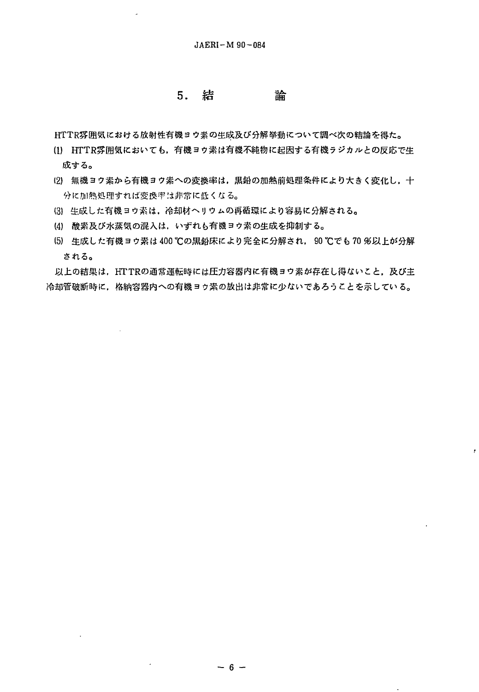## 5. 結 論

HTTR雰囲気における放射性有機ヨウ索の庄成及ひ'分解挙動について調べ次の結論を得た。

- (1) HTTR雰囲気においても,有機ヨワ素は有機不純物に起因する有機ラジカルとの反応で生 成する。
- (2) 無機ヨウ素から有機ヨウ素への変換率は、黒鉛の加熱前処理条件により大きく変化し、十 分に加熱処理すれば変換率は非常に低くなる。
- (3) 生成した有機ヨウ素は、冷却材ヘリウムの再循環により容易に分解される。
- (4J 酸素及び水蒸気の混入は.いずれら有機ヨウ素の生成を抑制する。
- (5) 生成した有機ヨウ素は 400 ℃の黒鉛床により完全に分解され, 90 ℃でも 70 多以上が分解 される。

以上の結果は,HTTRの通常運転時には圧力容器内に有機ヨウ素が存在し得ないこと,及び主 冷却管破断時に、格納容器内への有機ヨウ素の放出は非常に少ないであろうことを示している。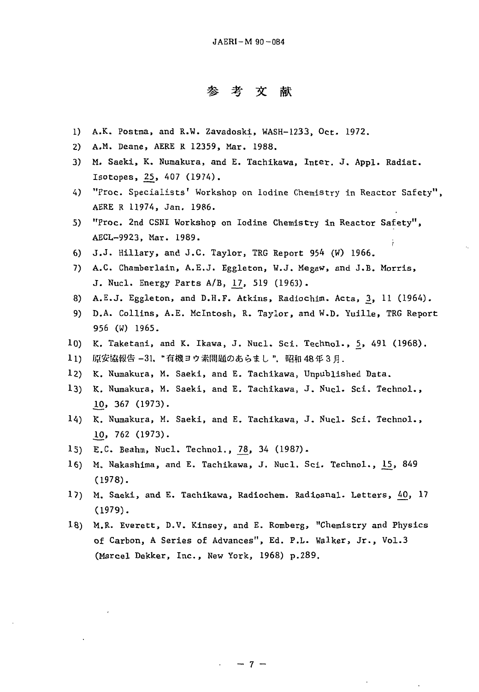# # # 3St *m*  参考文献

- 1) A.K. Postma, and R.W. Zavadoski, WASH-1233, Oct. 1972.
- 2) A.M. Deane, AERE R 12359, Mar. 1988. 2) A.M. Deane, AERE R 12359, Mar. 1988.
- 3) M. Saeki, K. Numakura, and E. Tachikawa, Inter. J. Appl. Radiat. 3) M. Saeki, K. Numakura, and E. Tachikawa, Inter. J. Appl. Radiat. Isotopes, <u>25</u>, 407 (1974).
- 4) "Proc. Specialists' Workshop on Iodine Chemistry in Reactor Safety", AERE R 11974, Jan. 1986. AERE R 11974, Jan. 1986.
- 5) "Proc. 2nd CSNI Workshop on Iodine Chemistry in Reactor Safety", AECL-9923, Mar. 1989. AECL-9923, Mar. 1989.
- 6) J.J. Hillary, and J.C. Taylor, TRG Report 954 (W) 1966. 6) J.J. Hillary, ane J.C. Taylor, TRG Report 954 (W) 1966.
- 7) A.C. Chamberlain, A.E.J. Eggleton, W.J. Megaw, and J.B. Morris, 7) A.C. Chamberlain, A.E.J. Eggleton, H.J. Megaw, and J.B. Morris, J. Nucl. Energy Parts A/B, 17, 519 (1963).
- 8) A.E.J. Eggleton, and D.H.F. Atkins, Radiochim. Acta, 3, 11 (1964).
- 9) D.A. Collins, A.E. Mcintosh, R. Taylor, and W.D. Yuille, TRG Report 9) D.A. Collins, A.E. Mclntosh, R. Taylor, and W.D. Yuille, TRG Report 956 (W) 1965. 956 (W) 1965.
- 10) K. Taketani, and K. Ikawa, J. Nucl. Sci. Technol., 5, 491 (1968).
- 11) 原安協報告 –31. "有機ヨウ素問題のあらまし ",昭和 48 年 3 月.
- 12) K. Numakura, M. Saeki, and E. Tachikawa, Unpublished Data. 12) K. Numakura, M. Saeki, and E. Tachikawa, Unpublished Data.
- 13) K. Numakura, M. Saeki, and E. Tachikawa, J. Nucl. Sci. Technol., 13) K. Numakura, M. Saeki, and E. Tachikawa, J. Nucl. Sci. Technol., .10, 367 (1973). 10, 367 (1973).
- 14) K. Numakura, M. Saeki, and E. Tachikawa, J. Nucl. Sci. Technol., 14) K. Numakura, M. Saeki, and E. Tachikawa, J. Nucl. Sci. Technol., .10, 762 (1973). 10, 762 (1973).
- 15) E.C. Beahm, Nucl. Technol., 78, 34 (1987).
- 16) M. Nakashima, and E. Tachikawa, J. Nucl. Sci. Technol.,  $\frac{15}{15}$ , 849 (1978). (1978) •
- 17) M. Saeki, and E. Tachikawa, Radiochem. Radioanal. Letters, 40, 17 (1979). (1979) •
- 18) M.R. Everett, D.V. Kinsey, and E. Romberg, "Chemistry and Physics 18) M.R. Everett, D.V. Kinsey, and E. Romberg, "Chemistry and Physics of Carbon, A Series of Advances", Ed. P.L. Walker, Jr., Vol.3 (Marcel Dekker, Inc., New York, 1968) p.289. (Marcel Dekker, Inc., New York, 1968) p.289.

 $-7 -$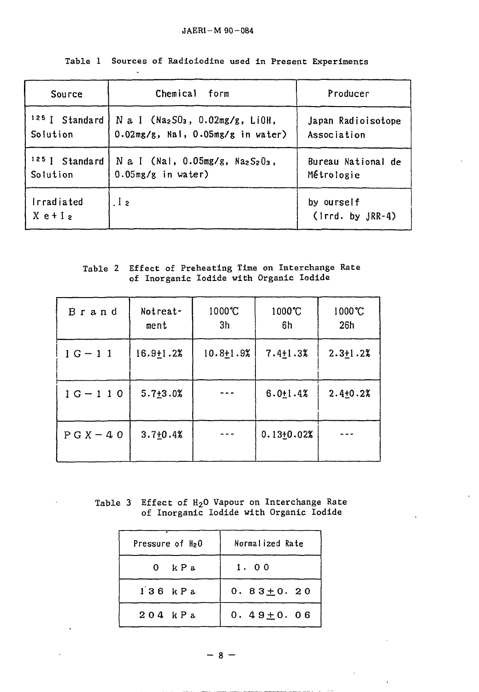## JAERI-M 90-084

| Source                    | Chemical form                                                                               | Producer                          |
|---------------------------|---------------------------------------------------------------------------------------------|-----------------------------------|
| Solution                  | $125$ I Standard   N a I (Na2SO3, 0.02mg/g, LiOH,<br>$0.02mg/g$ , Nal, $0.05mg/g$ in water) | Japan Radioisotope<br>Association |
| Solution                  | <sup>125</sup> I Standard   N a I (Nal, $0.05mg/g$ , $Na2S2O3$ ,<br>$0.05mg/g$ in water)    | Bureau National de<br>Métrologie  |
| Irradiated<br>$X e + I_2$ | $\overline{1}$ 2                                                                            | by ourself<br>$(1rrd. by JRR-4)$  |

|  |  |  |  |  |  |  |  | Table 1 Sources of Radioiodine used in Present Experiments |
|--|--|--|--|--|--|--|--|------------------------------------------------------------|
|--|--|--|--|--|--|--|--|------------------------------------------------------------|

## Table 2 Effect of Preheating Time on Interchange Rate of Inorganic Iodide with Organic Iodide

| Brand        | Notreat-<br>$m$ ent | 1000°C<br>3 <sub>h</sub> | 1000°C<br>6h    | $1000^{\circ}C$<br>26h |
|--------------|---------------------|--------------------------|-----------------|------------------------|
| $IG-11$      | $16.9 \pm 1.2$ %    | $10.8 + 1.9%$            | $7.4 \pm 1.3$ % | $2.3 \pm 1.2$ %        |
| $IG - 110$   | $5.7 + 3.02$        |                          | $6.0 \pm 1.4$ % | $2.4 + 0.2%$           |
| $P G X - 40$ | $3.7 + 0.4%$        |                          | $0.13 + 0.02%$  |                        |

Table 3 Effect of H<sub>2</sub>O Vapour on Interchange Rate of Inorganic Iodide with Organic Iodide

| Pressure of $H_2O$ | Normalized Rate |  |  |
|--------------------|-----------------|--|--|
| 0 kPa              | 1.00            |  |  |
| $136$ $kPa$        | $0.83 \pm 0.20$ |  |  |
| $204$ kPa          | $0.49 \pm 0.06$ |  |  |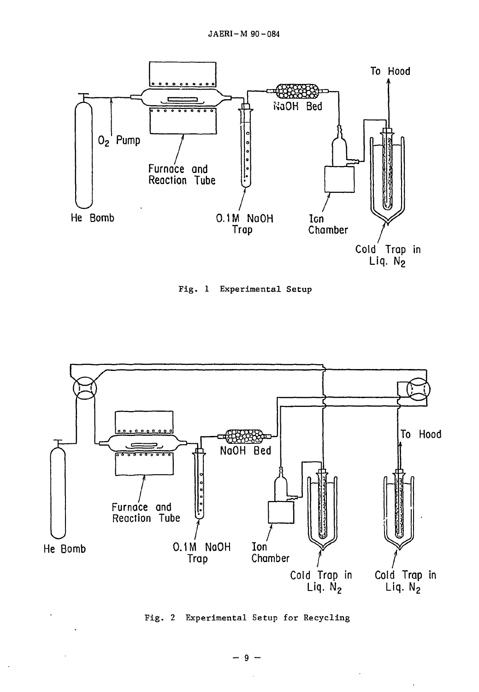





Fig. 2 Experimental Setup for Recycling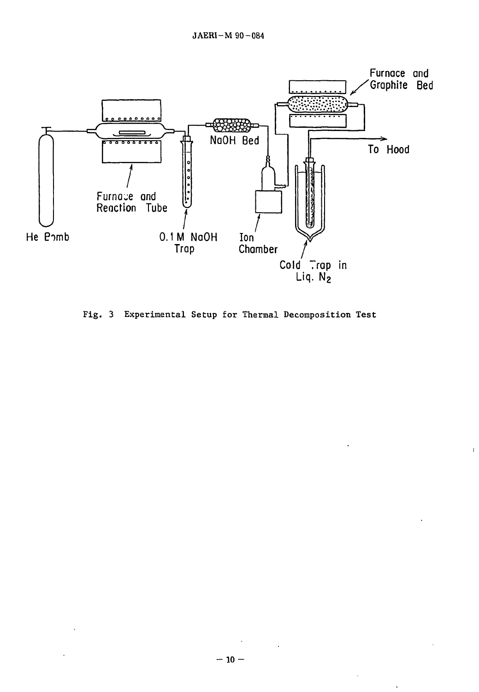

Fig. 3 Experimental Setup for Thermal Decomposition Test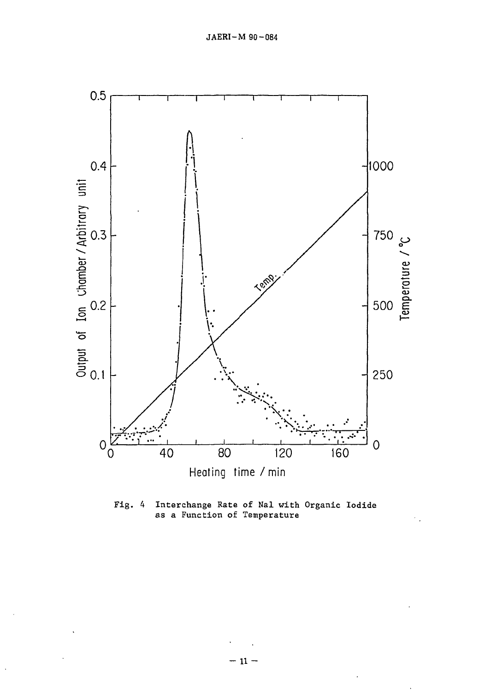

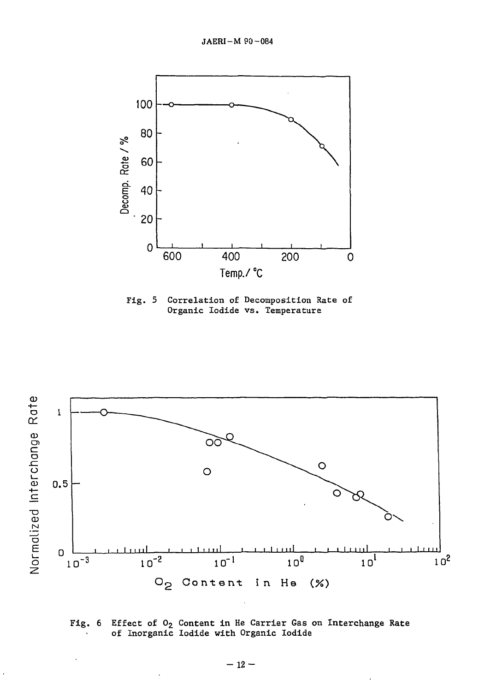

Fig. 5 Correlation of Decomposition Rate of Organic Iodide vs. Temperature



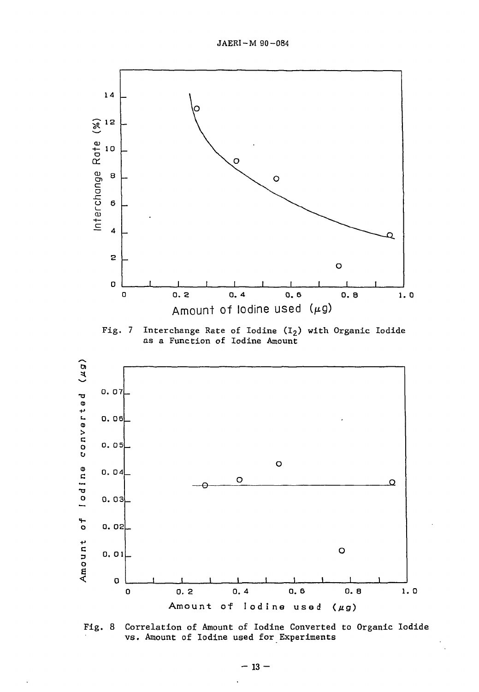

Fig. 7 Interchange Rate of Iodine (I<sub>2</sub>) with Organic Iodide as a Function of Iodine Amount



Fig. 8 Correlation of Amount of Iodine Converted to Organic Iodide vs. Amount of Iodine used for Experiments